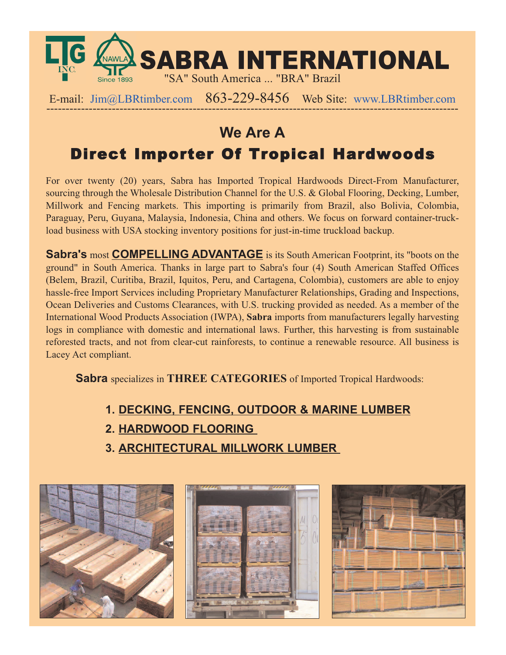

E-mail:  $\lim_{\text{Re}}\Omega$ LBRtimber.com 863-229-8456 Web Site: www.LBRtimber.com

## **We Are A** Direct Importer Of Tropical Hardwoods

For over twenty (20) years, Sabra has Imported Tropical Hardwoods Direct-From Manufacturer, sourcing through the Wholesale Distribution Channel for the U.S. & Global Flooring, Decking, Lumber, Millwork and Fencing markets. This importing is primarily from Brazil, also Bolivia, Colombia, Paraguay, Peru, Guyana, Malaysia, Indonesia, China and others. We focus on forward container-truckload business with USA stocking inventory positions for just-in-time truckload backup.

**Sabra's** most **COMPELLING ADVANTAGE** is its South American Footprint, its "boots on the ground" in South America. Thanks in large part to Sabra's four (4) South American Staffed Offices (Belem, Brazil, Curitiba, Brazil, Iquitos, Peru, and Cartagena, Colombia), customers are able to enjoy hassle-free Import Services including Proprietary Manufacturer Relationships, Grading and Inspections, Ocean Deliveries and Customs Clearances, with U.S. trucking provided as needed. As a member of the International Wood Products Association (IWPA), **Sabra** imports from manufacturers legally harvesting logs in compliance with domestic and international laws. Further, this harvesting is from sustainable reforested tracts, and not from clear-cut rainforests, to continue a renewable resource. All business is Lacey Act compliant.

**Sabra** specializes in **THREE CATEGORIES** of Imported Tropical Hardwoods:

- **1. DECKING, FENCING, OUTDOOR & MARINE LUMBER**
- **2. HARDWOOD FLOORING**
- **3. ARCHITECTURAL MILLWORK LUMBER**